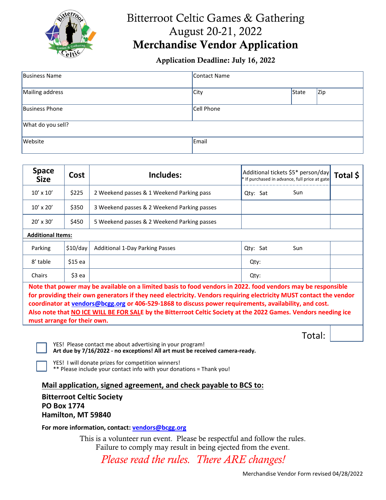

# Bitterroot Celtic Games & Gathering August 20-21, 2022 Merchandise Vendor Application

#### Application Deadline: July 16, 2022

| Business Name         | Contact Name |       |     |  |  |
|-----------------------|--------------|-------|-----|--|--|
| Mailing address       | City         | State | Zip |  |  |
| <b>Business Phone</b> | Cell Phone   |       |     |  |  |
| What do you sell?     |              |       |     |  |  |
| Website               | Email        |       |     |  |  |

| <b>Space</b><br><b>Size</b>                                                                                                                                                                                                           | Cost     | Includes:                                   | Additional tickets \$5* person/day<br>Total \$<br>* If purchased in advance, full price at gate |  |  |  |  |
|---------------------------------------------------------------------------------------------------------------------------------------------------------------------------------------------------------------------------------------|----------|---------------------------------------------|-------------------------------------------------------------------------------------------------|--|--|--|--|
| $10' \times 10'$                                                                                                                                                                                                                      | \$225    | 2 Weekend passes & 1 Weekend Parking pass   | Sun<br>Qty: Sat                                                                                 |  |  |  |  |
| $10' \times 20'$                                                                                                                                                                                                                      | \$350    | 3 Weekend passes & 2 Weekend Parking passes |                                                                                                 |  |  |  |  |
| $20' \times 30'$                                                                                                                                                                                                                      | \$450    | 5 Weekend passes & 2 Weekend Parking passes |                                                                                                 |  |  |  |  |
| <b>Additional Items:</b>                                                                                                                                                                                                              |          |                                             |                                                                                                 |  |  |  |  |
| Parking                                                                                                                                                                                                                               | \$10/day | <b>Additional 1-Day Parking Passes</b>      | Qty: Sat<br>Sun                                                                                 |  |  |  |  |
| 8' table                                                                                                                                                                                                                              | $$15$ ea |                                             | Qty:                                                                                            |  |  |  |  |
| Chairs                                                                                                                                                                                                                                | \$3 ea   |                                             | Qty:                                                                                            |  |  |  |  |
| Note that power may be available on a limited basis to food vendors in 2022. food vendors may be responsible<br>المالية والمتحدث والمستحقق والمتحام والمنافس والمتحدث والمنافس والمتحافظ والمتحدث والمنافس والمنافس والمنافس والمنافس |          |                                             |                                                                                                 |  |  |  |  |

**for providing their own generators if they need electricity. Vendors requiring electricity MUST contact the vendor coordinator a[t vendors@bcgg.org](mailto:vendors@bcgg.org) or 406-529-1868 to discuss power requirements, availability, and cost. Also note that NO ICE WILL BE FOR SALE by the Bitterroot Celtic Society at the 2022 Games. Vendors needing ice must arrange for their own.**

|  | otal |  |
|--|------|--|
|  |      |  |

YES! Please contact me about advertising in your program! **Art due by 7/16/2022 - no exceptions! All art must be received camera-ready.**

YES! I will donate prizes for competition winners!

\*\* Please include your contact info with your donations = Thank you!

**Mail application, signed agreement, and check payable to BCS to:**

**Bitterroot Celtic Society PO Box 1774 Hamilton, MT 59840**

**For more information, contact: [vendors@bcgg.org](mailto:vendors@bcgg.org)**

This is a volunteer run event. Please be respectful and follow the rules. Failure to comply may result in being ejected from the event.

*Please read the rules. There ARE changes!*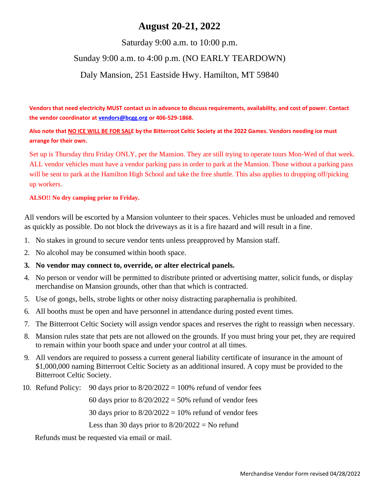## **August 20-21, 2022**

#### Saturday 9:00 a.m. to 10:00 p.m.

## Sunday 9:00 a.m. to 4:00 p.m. (NO EARLY TEARDOWN)

#### Daly Mansion, 251 Eastside Hwy. Hamilton, MT 59840

**Vendors that need electricity MUST contact us in advance to discuss requirements, availability, and cost of power. Contact the vendor coordinator a[t vendors@bcgg.org](mailto:vendors@bcgg.org) or 406-529-1868.**

**Also note that NO ICE WILL BE FOR SALE by the Bitterroot Celtic Society at the 2022 Games. Vendors needing ice must arrange for their own.**

Set up is Thursday thru Friday ONLY, per the Mansion. They are still trying to operate tours Mon-Wed of that week. ALL vendor vehicles must have a vendor parking pass in order to park at the Mansion. Those without a parking pass will be sent to park at the Hamilton High School and take the free shuttle. This also applies to dropping off/picking up workers.

#### **ALSO!! No dry camping prior to Friday.**

All vendors will be escorted by a Mansion volunteer to their spaces. Vehicles must be unloaded and removed as quickly as possible. Do not block the driveways as it is a fire hazard and will result in a fine.

- 1. No stakes in ground to secure vendor tents unless preapproved by Mansion staff.
- 2. No alcohol may be consumed within booth space.

#### **3. No vendor may connect to, override, or alter electrical panels.**

- 4. No person or vendor will be permitted to distribute printed or advertising matter, solicit funds, or display merchandise on Mansion grounds, other than that which is contracted.
- 5. Use of gongs, bells, strobe lights or other noisy distracting paraphernalia is prohibited.
- 6. All booths must be open and have personnel in attendance during posted event times.
- 7. The Bitterroot Celtic Society will assign vendor spaces and reserves the right to reassign when necessary.
- 8. Mansion rules state that pets are not allowed on the grounds. If you must bring your pet, they are required to remain within your booth space and under your control at all times.
- 9. All vendors are required to possess a current general liability certificate of insurance in the amount of \$1,000,000 naming Bitterroot Celtic Society as an additional insured. A copy must be provided to the Bitterroot Celtic Society.
- 10. Refund Policy: 90 days prior to  $8/20/2022 = 100\%$  refund of vendor fees

60 days prior to  $8/20/2022 = 50%$  refund of vendor fees

30 days prior to  $8/20/2022 = 10%$  refund of vendor fees

Less than 30 days prior to  $8/20/2022 =$  No refund

Refunds must be requested via email or mail.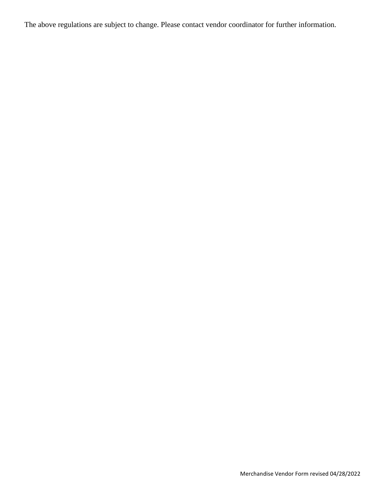The above regulations are subject to change. Please contact vendor coordinator for further information.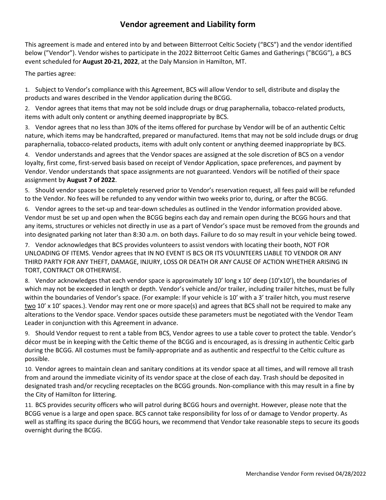#### **Vendor agreement and Liability form**

This agreement is made and entered into by and between Bitterroot Celtic Society ("BCS") and the vendor identified below ("Vendor"). Vendor wishes to participate in the 2022 Bitterroot Celtic Games and Gatherings ("BCGG"), a BCS event scheduled for **August 20-21, 2022**, at the Daly Mansion in Hamilton, MT.

The parties agree:

1. Subject to Vendor's compliance with this Agreement, BCS will allow Vendor to sell, distribute and display the products and wares described in the Vendor application during the BCGG.

2. Vendor agrees that items that may not be sold include drugs or drug paraphernalia, tobacco-related products, items with adult only content or anything deemed inappropriate by BCS.

3. Vendor agrees that no less than 30% of the items offered for purchase by Vendor will be of an authentic Celtic nature, which items may be handcrafted, prepared or manufactured. Items that may not be sold include drugs or drug paraphernalia, tobacco-related products, items with adult only content or anything deemed inappropriate by BCS.

4. Vendor understands and agrees that the Vendor spaces are assigned at the sole discretion of BCS on a vendor loyalty, first come, first-served basis based on receipt of Vendor Application, space preferences, and payment by Vendor. Vendor understands that space assignments are not guaranteed. Vendors will be notified of their space assignment by **August 7 of 2022**.

5. Should vendor spaces be completely reserved prior to Vendor's reservation request, all fees paid will be refunded to the Vendor. No fees will be refunded to any vendor within two weeks prior to, during, or after the BCGG.

6. Vendor agrees to the set-up and tear-down schedules as outlined in the Vendor information provided above. Vendor must be set up and open when the BCGG begins each day and remain open during the BCGG hours and that any items, structures or vehicles not directly in use as a part of Vendor's space must be removed from the grounds and into designated parking not later than 8:30 a.m. on both days. Failure to do so may result in your vehicle being towed.

7. Vendor acknowledges that BCS provides volunteers to assist vendors with locating their booth, NOT FOR UNLOADING OF ITEMS. Vendor agrees that IN NO EVENT IS BCS OR ITS VOLUNTEERS LIABLE TO VENDOR OR ANY THIRD PARTY FOR ANY THEFT, DAMAGE, INJURY, LOSS OR DEATH OR ANY CAUSE OF ACTION WHETHER ARISING IN TORT, CONTRACT OR OTHERWISE.

8. Vendor acknowledges that each vendor space is approximately 10' long x 10' deep (10'x10'), the boundaries of which may not be exceeded in length or depth. Vendor's vehicle and/or trailer, including trailer hitches, must be fully within the boundaries of Vendor's space. (For example: If your vehicle is 10' with a 3' trailer hitch, you must reserve two 10' x 10' spaces.). Vendor may rent one or more space(s) and agrees that BCS shall not be required to make any alterations to the Vendor space. Vendor spaces outside these parameters must be negotiated with the Vendor Team Leader in conjunction with this Agreement in advance.

9. Should Vendor request to rent a table from BCS, Vendor agrees to use a table cover to protect the table. Vendor's décor must be in keeping with the Celtic theme of the BCGG and is encouraged, as is dressing in authentic Celtic garb during the BCGG. All costumes must be family-appropriate and as authentic and respectful to the Celtic culture as possible.

10. Vendor agrees to maintain clean and sanitary conditions at its vendor space at all times, and will remove all trash from and around the immediate vicinity of its vendor space at the close of each day. Trash should be deposited in designated trash and/or recycling receptacles on the BCGG grounds. Non-compliance with this may result in a fine by the City of Hamilton for littering.

11. BCS provides security officers who will patrol during BCGG hours and overnight. However, please note that the BCGG venue is a large and open space. BCS cannot take responsibility for loss of or damage to Vendor property. As well as staffing its space during the BCGG hours, we recommend that Vendor take reasonable steps to secure its goods overnight during the BCGG.